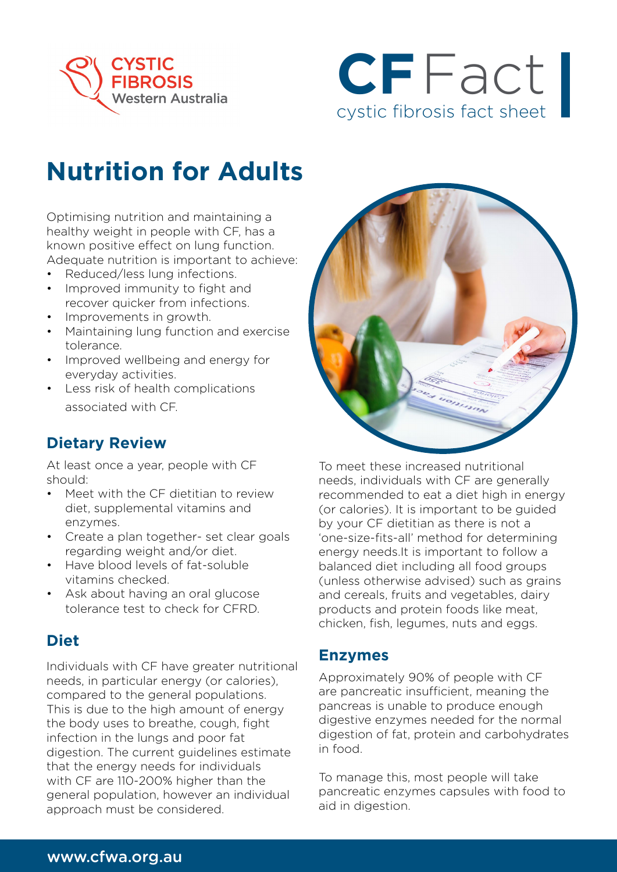



# **Nutrition for Adults**

Optimising nutrition and maintaining a healthy weight in people with CF, has a known positive effect on lung function. Adequate nutrition is important to achieve:

- Reduced/less lung infections.
- Improved immunity to fight and recover quicker from infections.
- Improvements in growth.
- Maintaining lung function and exercise tolerance.
- Improved wellbeing and energy for everyday activities.
- Less risk of health complications associated with CF.

# **Dietary Review**

At least once a year, people with CF should:

- Meet with the CF dietitian to review diet, supplemental vitamins and enzymes.
- Create a plan together- set clear goals regarding weight and/or diet.
- Have blood levels of fat-soluble vitamins checked.
- Ask about having an oral glucose tolerance test to check for CFRD.

# **Diet**

Individuals with CF have greater nutritional needs, in particular energy (or calories), compared to the general populations. This is due to the high amount of energy the body uses to breathe, cough, fight infection in the lungs and poor fat digestion. The current guidelines estimate that the energy needs for individuals with CF are 110-200% higher than the general population, however an individual approach must be considered.



To meet these increased nutritional needs, individuals with CF are generally recommended to eat a diet high in energy (or calories). It is important to be guided by your CF dietitian as there is not a 'one-size-fits-all' method for determining energy needs.It is important to follow a balanced diet including all food groups (unless otherwise advised) such as grains and cereals, fruits and vegetables, dairy products and protein foods like meat, chicken, fish, legumes, nuts and eggs.

### **Enzymes**

Approximately 90% of people with CF are pancreatic insufficient, meaning the pancreas is unable to produce enough digestive enzymes needed for the normal digestion of fat, protein and carbohydrates in food.

To manage this, most people will take pancreatic enzymes capsules with food to aid in digestion.

### www.cfwa.org.au